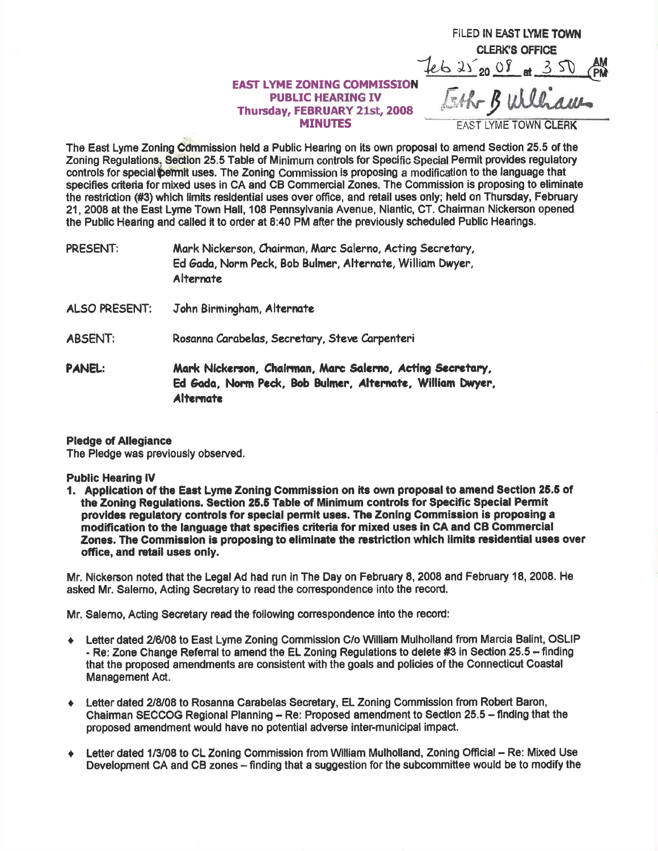## $4622008$  at 3.50 **EAST LYME ZONING COMMISSION PUBLIC HEARING IV** Thursday, FEBRUARY 21st, 2008 **MINUTES**

Eth Bulliam **AST LYME TOWN CLERK** 

FILED IN EAST LYME TOWN **CLERK'S OFFICE** 

The East Lyme Zoning Commission held a Public Hearing on its own proposal to amend Section 25.5 of the Zoning Regulations, Section 25.5 Table of Minimum controls for Specific Special Permit provides regulatory controls for special permit uses. The Zoning Commission is proposing a modification to the language that specifies criteria for mixed uses in CA and CB Commercial Zones. The Commission is proposing to eliminate the restriction (#3) which limits residential uses over office, and retail uses only; held on Thursday, February 21, 2008 at the East Lyme Town Hall, 108 Pennsylvania Avenue, Niantic, CT. Chairman Nickerson opened the Public Hearing and called it to order at 8:40 PM after the previously scheduled Public Hearings.

Mark Nickerson, Chairman, Marc Salerno, Acting Secretary, PRESENT: Ed Gada, Norm Peck, Bob Bulmer, Alternate, William Dwyer, **Alternate** 

- ALSO PRESENT: John Birmingham, Alternate
- **ABSENT:** Rosanna Carabelas, Secretary, Steve Carpenteri
- **PANEL:** Mark Nickerson, Chairman, Marc Salerno, Acting Secretary, Ed Gada, Norm Peck, Bob Bulmer, Alternate, William Dwyer, **Alternate**

## **Pledge of Allegiance**

The Pledge was previously observed.

## **Public Hearing IV**

1. Application of the East Lyme Zoning Commission on its own proposal to amend Section 25.5 of the Zoning Regulations. Section 25.5 Table of Minimum controls for Specific Special Permit provides regulatory controls for special permit uses. The Zoning Commission is proposing a modification to the language that specifies criteria for mixed uses in CA and CB Commercial Zones. The Commission is proposing to eliminate the restriction which limits residential uses over office, and retail uses only.

Mr. Nickerson noted that the Legal Ad had run in The Day on February 8, 2008 and February 18, 2008. He asked Mr. Salerno, Acting Secretary to read the correspondence into the record.

Mr. Salerno, Acting Secretary read the following correspondence into the record:

- + Letter dated 2/6/08 to East Lyme Zoning Commission C/o William Mulholland from Marcia Balint, OSLIP - Re: Zone Change Referral to amend the EL Zoning Regulations to delete #3 in Section 25.5 -- finding that the proposed amendments are consistent with the goals and policies of the Connecticut Coastal Management Act.
- Letter dated 2/8/08 to Rosanna Carabelas Secretary, EL Zoning Commission from Robert Baron,  $\blacklozenge$ Chairman SECCOG Regional Planning - Re: Proposed amendment to Section 25.5 - finding that the proposed amendment would have no potential adverse inter-municipal impact.
- Letter dated 1/3/08 to CL Zoning Commission from William Mulholland, Zoning Official Re: Mixed Use  $\bullet$ Development CA and CB zones - finding that a suggestion for the subcommittee would be to modify the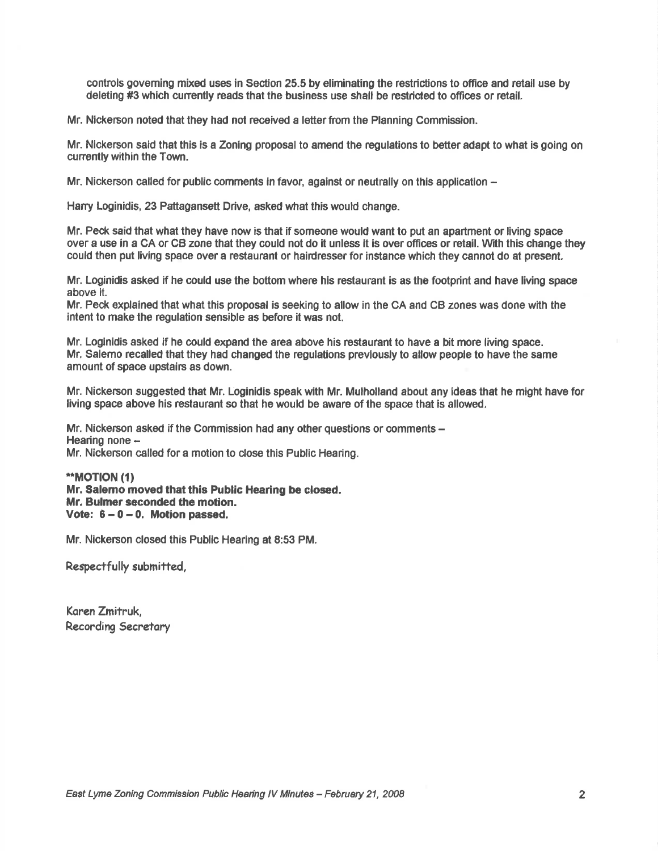controls governing mixed uses in Section 25.5 by eliminating the restrictions to office and retail use by deleting #3 which cunently reads that the business use shall be restricted to offices or retail.

Mr. Nickerson noted that they had not received a letter from the Planning Commission.

Mr. Nickerson said that this is a Zoning proposal to amend the regulations to better adapt to what is going on cunently within the Town.

Mr. Nickerson called for public comments in favor, against or neutrally on this application  $-$ 

Harry Loginidis, 23 Pattagansett Drive, asked what this would change.

Mr. Peck said that what they have now is that if someone would want to put an apartment or living spece over a use in a CA or CB zone that they could not do it unless it is over offices or retail. Wth this change they could then put living space over a restaurant or hairdresser for instance which they cannot do at present.

Mr. Loginidis asked if he could use the bottom where his restaurant is as the footprint and have living space above lt.

Mr. Peck explained that what this proposal is seeking to allow in the GA and CB zones was done with the intent to make the regulation sensible as before it was not.

Mr. Loginidis asked if he could expand the area above his restaurant to have a bit more living space. Mr, Salemo recalled that they had changed the regulations prevlously to allow people to have the same amount of space upstairs as down.

Mr. Nickerson suggested that Mr. Loginidis speak with Mr. Mulholland about any ldeas that he might have for living space above his restaurant so that he would be aware of the space that is allowed.

Mr. Nickerson asked if the Commission had any other questions or comments -Hearing none -Mr. Nickerson called for a motion to close this Public Hearing.

'\*MOT|ON ({) Mr. Salemo moved that this Public Hearing be closed. Mr. Bulmer seconded the motion. Vote:  $6 - 0 - 0$ . Motion passed.

Mr. Nickerson closed this Public Hearing at 8:53 PM.

Respectfully submitted,

Koren Zmifruk, Recordirg Secretary